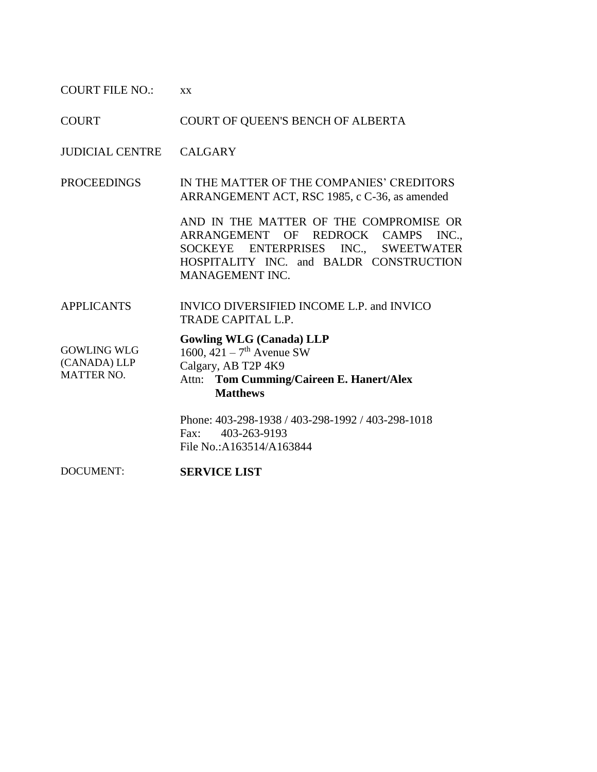COURT FILE NO.: xx

COURT COURT OF QUEEN'S BENCH OF ALBERTA

JUDICIAL CENTRE CALGARY

PROCEEDINGS IN THE MATTER OF THE COMPANIES' CREDITORS ARRANGEMENT ACT, RSC 1985, c C-36, as amended

> AND IN THE MATTER OF THE COMPROMISE OR ARRANGEMENT OF REDROCK CAMPS INC., SOCKEYE ENTERPRISES INC., SWEETWATER HOSPITALITY INC. and BALDR CONSTRUCTION MANAGEMENT INC.

APPLICANTS INVICO DIVERSIFIED INCOME L.P. and INVICO TRADE CAPITAL L.P.

GOWLING WLG (CANADA) LLP MATTER NO.

## **Gowling WLG (Canada) LLP**

1600,  $421 - 7$ <sup>th</sup> Avenue SW Calgary, AB T2P 4K9 Attn: **Tom Cumming/Caireen E. Hanert/Alex** 

## **Matthews**

Phone: 403-298-1938 / 403-298-1992 / 403-298-1018 Fax: 403-263-9193 File No.:A163514/A163844

DOCUMENT: **SERVICE LIST**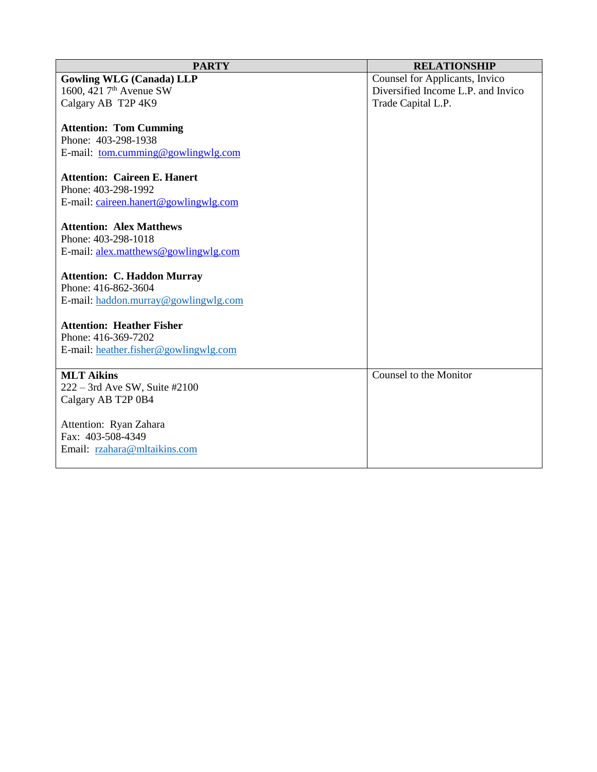| <b>PARTY</b>                              | <b>RELATIONSHIP</b>                |
|-------------------------------------------|------------------------------------|
| <b>Gowling WLG (Canada) LLP</b>           | Counsel for Applicants, Invico     |
| 1600, 421 7 <sup>th</sup> Avenue SW       | Diversified Income L.P. and Invico |
| Calgary AB T2P 4K9                        | Trade Capital L.P.                 |
|                                           |                                    |
| <b>Attention: Tom Cumming</b>             |                                    |
| Phone: 403-298-1938                       |                                    |
| E-mail: <u>tom.cumming@gowlingwlg.com</u> |                                    |
|                                           |                                    |
| <b>Attention: Caireen E. Hanert</b>       |                                    |
| Phone: 403-298-1992                       |                                    |
| E-mail: caireen.hanert@gowlingwlg.com     |                                    |
| <b>Attention: Alex Matthews</b>           |                                    |
| Phone: 403-298-1018                       |                                    |
| E-mail: alex.matthews@gowlingwlg.com      |                                    |
|                                           |                                    |
| <b>Attention: C. Haddon Murray</b>        |                                    |
| Phone: 416-862-3604                       |                                    |
| E-mail: haddon.murray@gowlingwlg.com      |                                    |
|                                           |                                    |
| <b>Attention: Heather Fisher</b>          |                                    |
| Phone: 416-369-7202                       |                                    |
| E-mail: heather.fisher@gowlingwlg.com     |                                    |
|                                           |                                    |
| <b>MLT Aikins</b>                         | Counsel to the Monitor             |
| 222 - 3rd Ave SW, Suite #2100             |                                    |
| Calgary AB T2P 0B4                        |                                    |
|                                           |                                    |
| Attention: Ryan Zahara                    |                                    |
| Fax: 403-508-4349                         |                                    |
| Email: rzahara@mltaikins.com              |                                    |
|                                           |                                    |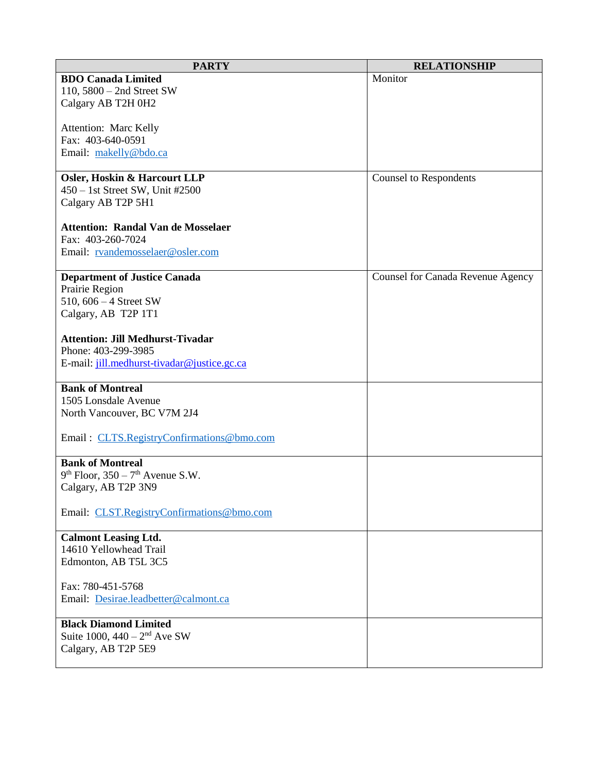| <b>PARTY</b>                                   | <b>RELATIONSHIP</b>                      |
|------------------------------------------------|------------------------------------------|
| <b>BDO Canada Limited</b>                      | Monitor                                  |
| 110, $5800 - 2$ nd Street SW                   |                                          |
| Calgary AB T2H 0H2                             |                                          |
|                                                |                                          |
| <b>Attention: Marc Kelly</b>                   |                                          |
| Fax: 403-640-0591                              |                                          |
| Email: makelly@bdo.ca                          |                                          |
|                                                |                                          |
| <b>Osler, Hoskin &amp; Harcourt LLP</b>        | <b>Counsel to Respondents</b>            |
| $450 - 1$ st Street SW, Unit #2500             |                                          |
| Calgary AB T2P 5H1                             |                                          |
|                                                |                                          |
| <b>Attention: Randal Van de Mosselaer</b>      |                                          |
| Fax: 403-260-7024                              |                                          |
| Email: rvandemosselaer@osler.com               |                                          |
|                                                |                                          |
| <b>Department of Justice Canada</b>            | <b>Counsel for Canada Revenue Agency</b> |
| Prairie Region                                 |                                          |
| 510, $606 - 4$ Street SW                       |                                          |
| Calgary, AB T2P 1T1                            |                                          |
|                                                |                                          |
| <b>Attention: Jill Medhurst-Tivadar</b>        |                                          |
| Phone: 403-299-3985                            |                                          |
| E-mail: jill.medhurst-tivadar@justice.gc.ca    |                                          |
|                                                |                                          |
| <b>Bank of Montreal</b>                        |                                          |
| 1505 Lonsdale Avenue                           |                                          |
| North Vancouver, BC V7M 2J4                    |                                          |
|                                                |                                          |
| Email: CLTS.RegistryConfirmations@bmo.com      |                                          |
| <b>Bank of Montreal</b>                        |                                          |
|                                                |                                          |
| $9th$ Floor, 350 – 7 <sup>th</sup> Avenue S.W. |                                          |
| Calgary, AB T2P 3N9                            |                                          |
| Email: CLST.RegistryConfirmations@bmo.com      |                                          |
|                                                |                                          |
| <b>Calmont Leasing Ltd.</b>                    |                                          |
| 14610 Yellowhead Trail                         |                                          |
| Edmonton, AB T5L 3C5                           |                                          |
|                                                |                                          |
| Fax: 780-451-5768                              |                                          |
| Email: Desirae.leadbetter@calmont.ca           |                                          |
|                                                |                                          |
| <b>Black Diamond Limited</b>                   |                                          |
| Suite 1000, $440 - 2^{nd}$ Ave SW              |                                          |
| Calgary, AB T2P 5E9                            |                                          |
|                                                |                                          |